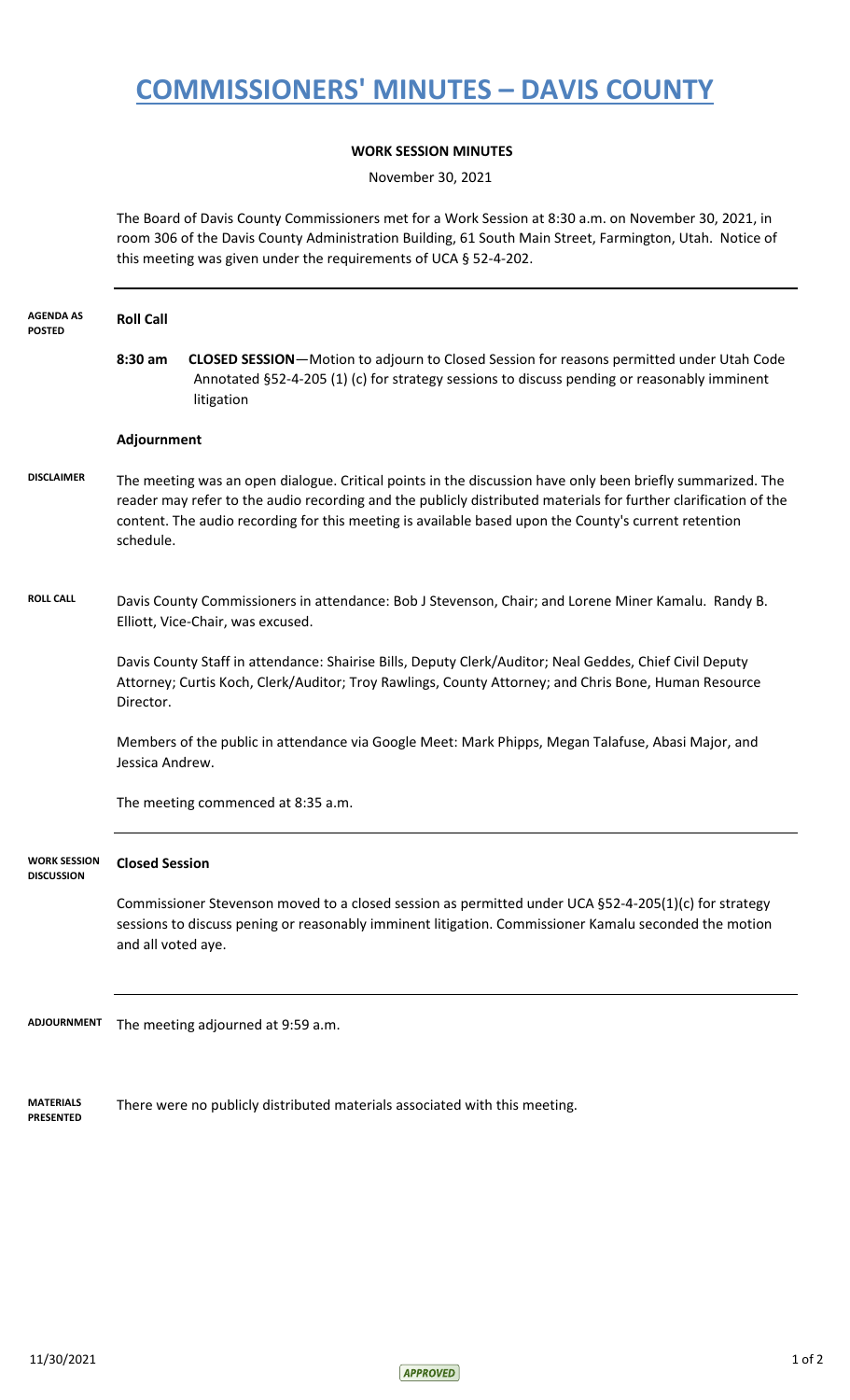## **COMMISSIONERS' MINUTES – DAVIS COUNTY**

## **WORK SESSION MINUTES**

November 30, 2021

The Board of Davis County Commissioners met for a Work Session at 8:30 a.m. on November 30, 2021, in room 306 of the Davis County Administration Building, 61 South Main Street, Farmington, Utah. Notice of this meeting was given under the requirements of UCA § 52-4-202.

| <b>AGENDA AS</b><br><b>POSTED</b>        | <b>Roll Call</b>                                                                                                                                                                                                                                                                                                                                   |                                                                                                                                                                                                               |  |
|------------------------------------------|----------------------------------------------------------------------------------------------------------------------------------------------------------------------------------------------------------------------------------------------------------------------------------------------------------------------------------------------------|---------------------------------------------------------------------------------------------------------------------------------------------------------------------------------------------------------------|--|
|                                          | 8:30 am                                                                                                                                                                                                                                                                                                                                            | <b>CLOSED SESSION-</b> Motion to adjourn to Closed Session for reasons permitted under Utah Code<br>Annotated §52-4-205 (1) (c) for strategy sessions to discuss pending or reasonably imminent<br>litigation |  |
|                                          | Adjournment                                                                                                                                                                                                                                                                                                                                        |                                                                                                                                                                                                               |  |
| <b>DISCLAIMER</b>                        | The meeting was an open dialogue. Critical points in the discussion have only been briefly summarized. The<br>reader may refer to the audio recording and the publicly distributed materials for further clarification of the<br>content. The audio recording for this meeting is available based upon the County's current retention<br>schedule. |                                                                                                                                                                                                               |  |
| <b>ROLL CALL</b>                         |                                                                                                                                                                                                                                                                                                                                                    | Davis County Commissioners in attendance: Bob J Stevenson, Chair; and Lorene Miner Kamalu. Randy B.<br>Elliott, Vice-Chair, was excused.                                                                      |  |
|                                          | Davis County Staff in attendance: Shairise Bills, Deputy Clerk/Auditor; Neal Geddes, Chief Civil Deputy<br>Attorney; Curtis Koch, Clerk/Auditor; Troy Rawlings, County Attorney; and Chris Bone, Human Resource<br>Director.                                                                                                                       |                                                                                                                                                                                                               |  |
|                                          | Members of the public in attendance via Google Meet: Mark Phipps, Megan Talafuse, Abasi Major, and<br>Jessica Andrew.                                                                                                                                                                                                                              |                                                                                                                                                                                                               |  |
|                                          |                                                                                                                                                                                                                                                                                                                                                    | The meeting commenced at 8:35 a.m.                                                                                                                                                                            |  |
| <b>WORK SESSION</b><br><b>DISCUSSION</b> | <b>Closed Session</b>                                                                                                                                                                                                                                                                                                                              |                                                                                                                                                                                                               |  |
|                                          | and all voted aye.                                                                                                                                                                                                                                                                                                                                 | Commissioner Stevenson moved to a closed session as permitted under UCA §52-4-205(1)(c) for strategy<br>sessions to discuss pening or reasonably imminent litigation. Commissioner Kamalu seconded the motion |  |
| ADJOURNMENT                              |                                                                                                                                                                                                                                                                                                                                                    | The meeting adjourned at 9:59 a.m.                                                                                                                                                                            |  |
| <b>MATERIALS</b><br><b>PRESENTED</b>     | There were no publicly distributed materials associated with this meeting.                                                                                                                                                                                                                                                                         |                                                                                                                                                                                                               |  |